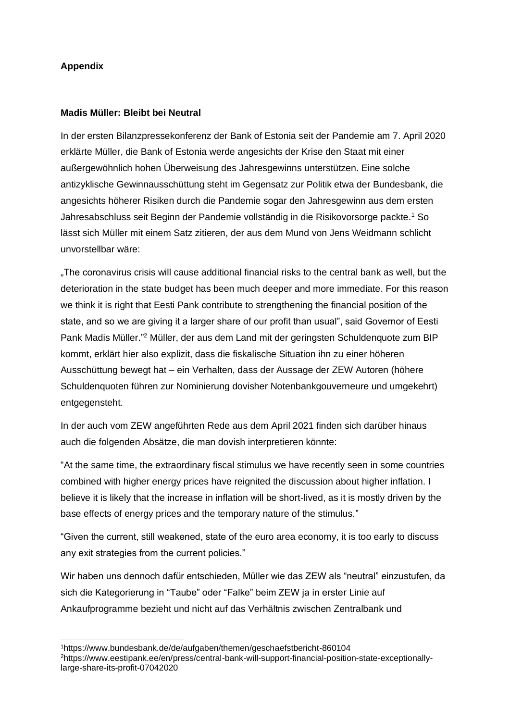# **Appendix**

### **Madis Müller: Bleibt bei Neutral**

In der ersten Bilanzpressekonferenz der Bank of Estonia seit der Pandemie am 7. April 2020 erklärte Müller, die Bank of Estonia werde angesichts der Krise den Staat mit einer außergewöhnlich hohen Überweisung des Jahresgewinns unterstützen. Eine solche antizyklische Gewinnausschüttung steht im Gegensatz zur Politik etwa der Bundesbank, die angesichts höherer Risiken durch die Pandemie sogar den Jahresgewinn aus dem ersten Jahresabschluss seit Beginn der Pandemie vollständig in die Risikovorsorge packte.<sup>1</sup> So lässt sich Müller mit einem Satz zitieren, der aus dem Mund von Jens Weidmann schlicht unvorstellbar wäre:

"The coronavirus crisis will cause additional financial risks to the central bank as well, but the deterioration in the state budget has been much deeper and more immediate. For this reason we think it is right that Eesti Pank contribute to strengthening the financial position of the state, and so we are giving it a larger share of our profit than usual", said Governor of Eesti Pank Madis Müller."<sup>2</sup> Müller, der aus dem Land mit der geringsten Schuldenquote zum BIP kommt, erklärt hier also explizit, dass die fiskalische Situation ihn zu einer höheren Ausschüttung bewegt hat – ein Verhalten, dass der Aussage der ZEW Autoren (höhere Schuldenquoten führen zur Nominierung dovisher Notenbankgouverneure und umgekehrt) entgegensteht.

In der auch vom ZEW angeführten Rede aus dem April 2021 finden sich darüber hinaus auch die folgenden Absätze, die man dovish interpretieren könnte:

"At the same time, the extraordinary fiscal stimulus we have recently seen in some countries combined with higher energy prices have reignited the discussion about higher inflation. I believe it is likely that the increase in inflation will be short-lived, as it is mostly driven by the base effects of energy prices and the temporary nature of the stimulus."

"Given the current, still weakened, state of the euro area economy, it is too early to discuss any exit strategies from the current policies."

Wir haben uns dennoch dafür entschieden, Müller wie das ZEW als "neutral" einzustufen, da sich die Kategorierung in "Taube" oder "Falke" beim ZEW ja in erster Linie auf Ankaufprogramme bezieht und nicht auf das Verhältnis zwischen Zentralbank und

<sup>1</sup>https://www.bundesbank.de/de/aufgaben/themen/geschaefstbericht-860104 2https://www.eestipank.ee/en/press/central-bank-will-support-financial-position-state-exceptionallylarge-share-its-profit-07042020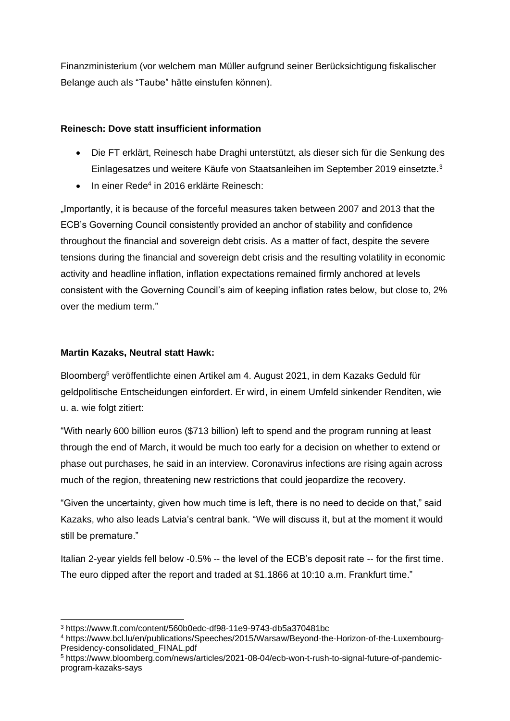Finanzministerium (vor welchem man Müller aufgrund seiner Berücksichtigung fiskalischer Belange auch als "Taube" hätte einstufen können).

# **Reinesch: Dove statt insufficient information**

- Die FT erklärt, Reinesch habe Draghi unterstützt, als dieser sich für die Senkung des Einlagesatzes und weitere Käufe von Staatsanleihen im September 2019 einsetzte.<sup>3</sup>
- In einer Rede<sup>4</sup> in 2016 erklärte Reinesch:

"Importantly, it is because of the forceful measures taken between 2007 and 2013 that the ECB's Governing Council consistently provided an anchor of stability and confidence throughout the financial and sovereign debt crisis. As a matter of fact, despite the severe tensions during the financial and sovereign debt crisis and the resulting volatility in economic activity and headline inflation, inflation expectations remained firmly anchored at levels consistent with the Governing Council's aim of keeping inflation rates below, but close to, 2% over the medium term."

## **Martin Kazaks, Neutral statt Hawk:**

Bloomberg<sup>5</sup> veröffentlichte einen Artikel am 4. August 2021, in dem Kazaks Geduld für geldpolitische Entscheidungen einfordert. Er wird, in einem Umfeld sinkender Renditen, wie u. a. wie folgt zitiert:

"With nearly 600 billion euros (\$713 billion) left to spend and the program running at least through the end of March, it would be much too early for a decision on whether to extend or phase out purchases, he said in an interview. Coronavirus infections are rising again across much of the region, threatening new restrictions that could jeopardize the recovery.

"Given the uncertainty, given how much time is left, there is no need to decide on that," said Kazaks, who also leads Latvia's central bank. "We will discuss it, but at the moment it would still be premature."

Italian 2-year yields fell below -0.5% -- the level of the ECB's deposit rate -- for the first time. The euro dipped after the report and traded at \$1.1866 at 10:10 a.m. Frankfurt time."

<sup>3</sup> https://www.ft.com/content/560b0edc-df98-11e9-9743-db5a370481bc

<sup>4</sup> https://www.bcl.lu/en/publications/Speeches/2015/Warsaw/Beyond-the-Horizon-of-the-Luxembourg-Presidency-consolidated\_FINAL.pdf

<sup>5</sup> https://www.bloomberg.com/news/articles/2021-08-04/ecb-won-t-rush-to-signal-future-of-pandemicprogram-kazaks-says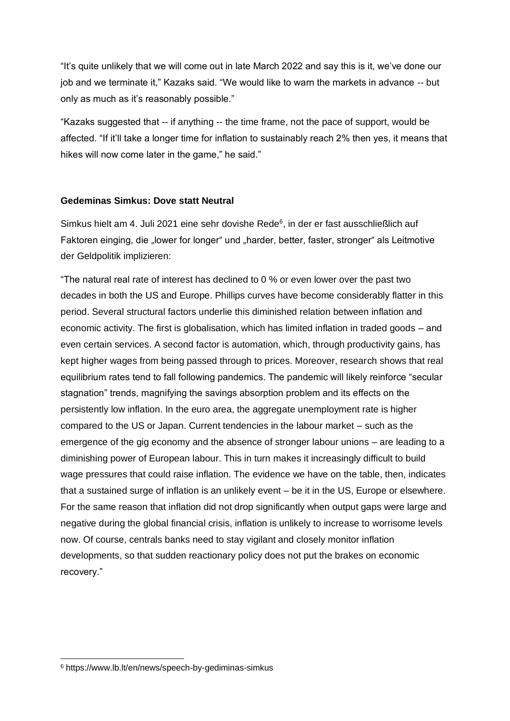"It's quite unlikely that we will come out in late March 2022 and say this is it, we've done our job and we terminate it," Kazaks said. "We would like to warn the markets in advance -- but only as much as it's reasonably possible."

"Kazaks suggested that -- if anything -- the time frame, not the pace of support, would be affected. "If it'll take a longer time for inflation to sustainably reach 2% then yes, it means that hikes will now come later in the game," he said."

#### **Gedeminas Simkus: Dove statt Neutral**

Simkus hielt am 4. Juli 2021 eine sehr dovishe Rede<sup>6</sup>, in der er fast ausschließlich auf Faktoren einging, die "lower for longer" und "harder, better, faster, stronger" als Leitmotive der Geldpolitik implizieren:

"The natural real rate of interest has declined to 0 % or even lower over the past two decades in both the US and Europe. Phillips curves have become considerably flatter in this period. Several structural factors underlie this diminished relation between inflation and economic activity. The first is globalisation, which has limited inflation in traded goods – and even certain services. A second factor is automation, which, through productivity gains, has kept higher wages from being passed through to prices. Moreover, research shows that real equilibrium rates tend to fall following pandemics. The pandemic will likely reinforce "secular stagnation" trends, magnifying the savings absorption problem and its effects on the persistently low inflation. In the euro area, the aggregate unemployment rate is higher compared to the US or Japan. Current tendencies in the labour market – such as the emergence of the gig economy and the absence of stronger labour unions – are leading to a diminishing power of European labour. This in turn makes it increasingly difficult to build wage pressures that could raise inflation. The evidence we have on the table, then, indicates that a sustained surge of inflation is an unlikely event – be it in the US, Europe or elsewhere. For the same reason that inflation did not drop significantly when output gaps were large and negative during the global financial crisis, inflation is unlikely to increase to worrisome levels now. Of course, centrals banks need to stay vigilant and closely monitor inflation developments, so that sudden reactionary policy does not put the brakes on economic recovery."

<sup>6</sup> https://www.lb.lt/en/news/speech-by-gediminas-simkus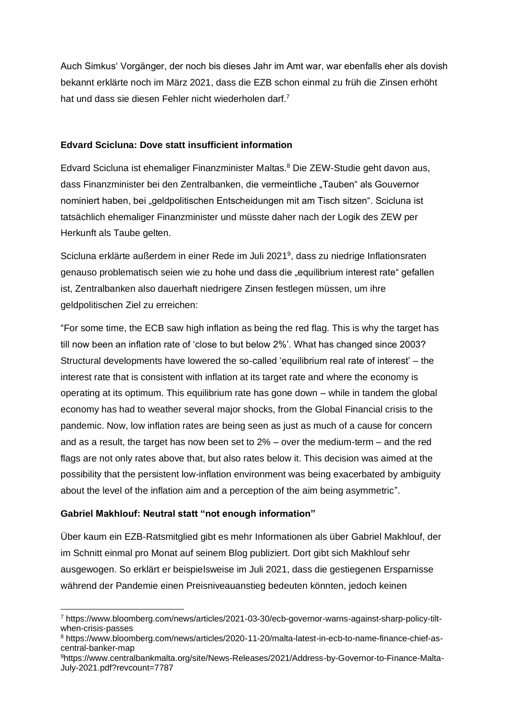Auch Simkus' Vorgänger, der noch bis dieses Jahr im Amt war, war ebenfalls eher als dovish bekannt erklärte noch im März 2021, dass die EZB schon einmal zu früh die Zinsen erhöht hat und dass sie diesen Fehler nicht wiederholen darf.<sup>7</sup>

# **Edvard Scicluna: Dove statt insufficient information**

Edvard Scicluna ist ehemaliger Finanzminister Maltas.<sup>8</sup> Die ZEW-Studie geht davon aus, dass Finanzminister bei den Zentralbanken, die vermeintliche "Tauben" als Gouvernor nominiert haben, bei "geldpolitischen Entscheidungen mit am Tisch sitzen". Scicluna ist tatsächlich ehemaliger Finanzminister und müsste daher nach der Logik des ZEW per Herkunft als Taube gelten.

Scicluna erklärte außerdem in einer Rede im Juli 2021<sup>9</sup>, dass zu niedrige Inflationsraten genauso problematisch seien wie zu hohe und dass die "equilibrium interest rate" gefallen ist, Zentralbanken also dauerhaft niedrigere Zinsen festlegen müssen, um ihre geldpolitischen Ziel zu erreichen:

"For some time, the ECB saw high inflation as being the red flag. This is why the target has till now been an inflation rate of 'close to but below 2%'. What has changed since 2003? Structural developments have lowered the so-called 'equilibrium real rate of interest' – the interest rate that is consistent with inflation at its target rate and where the economy is operating at its optimum. This equilibrium rate has gone down – while in tandem the global economy has had to weather several major shocks, from the Global Financial crisis to the pandemic. Now, low inflation rates are being seen as just as much of a cause for concern and as a result, the target has now been set to 2% – over the medium-term – and the red flags are not only rates above that, but also rates below it. This decision was aimed at the possibility that the persistent low-inflation environment was being exacerbated by ambiguity about the level of the inflation aim and a perception of the aim being asymmetric".

# **Gabriel Makhlouf: Neutral statt "not enough information"**

Über kaum ein EZB-Ratsmitglied gibt es mehr Informationen als über Gabriel Makhlouf, der im Schnitt einmal pro Monat auf seinem Blog publiziert. Dort gibt sich Makhlouf sehr ausgewogen. So erklärt er beispielsweise im Juli 2021, dass die gestiegenen Ersparnisse während der Pandemie einen Preisniveauanstieg bedeuten könnten, jedoch keinen

<sup>7</sup> https://www.bloomberg.com/news/articles/2021-03-30/ecb-governor-warns-against-sharp-policy-tiltwhen-crisis-passes

<sup>8</sup> https://www.bloomberg.com/news/articles/2020-11-20/malta-latest-in-ecb-to-name-finance-chief-ascentral-banker-map

<sup>9</sup>https://www.centralbankmalta.org/site/News-Releases/2021/Address-by-Governor-to-Finance-Malta-July-2021.pdf?revcount=7787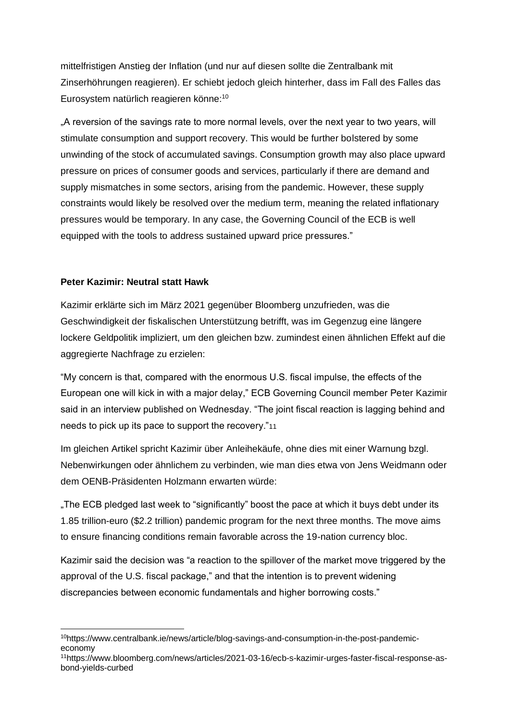mittelfristigen Anstieg der Inflation (und nur auf diesen sollte die Zentralbank mit Zinserhöhrungen reagieren). Er schiebt jedoch gleich hinterher, dass im Fall des Falles das Eurosystem natürlich reagieren könne:<sup>10</sup>

"A reversion of the savings rate to more normal levels, over the next year to two years, will stimulate consumption and support recovery. This would be further bolstered by some unwinding of the stock of accumulated savings. Consumption growth may also place upward pressure on prices of consumer goods and services, particularly if there are demand and supply mismatches in some sectors, arising from the pandemic. However, these supply constraints would likely be resolved over the medium term, meaning the related inflationary pressures would be temporary. In any case, the Governing Council of the ECB is well equipped with the tools to address sustained upward price pressures."

## **Peter Kazimir: Neutral statt Hawk**

Kazimir erklärte sich im März 2021 gegenüber Bloomberg unzufrieden, was die Geschwindigkeit der fiskalischen Unterstützung betrifft, was im Gegenzug eine längere lockere Geldpolitik impliziert, um den gleichen bzw. zumindest einen ähnlichen Effekt auf die aggregierte Nachfrage zu erzielen:

"My concern is that, compared with the enormous U.S. fiscal impulse, the effects of the European one will kick in with a major delay," ECB Governing Council member Peter Kazimir said in an interview published on Wednesday. "The joint fiscal reaction is lagging behind and needs to pick up its pace to support the recovery."11

Im gleichen Artikel spricht Kazimir über Anleihekäufe, ohne dies mit einer Warnung bzgl. Nebenwirkungen oder ähnlichem zu verbinden, wie man dies etwa von Jens Weidmann oder dem OENB-Präsidenten Holzmann erwarten würde:

"The ECB pledged last week to "significantly" boost the pace at which it buys debt under its 1.85 trillion-euro (\$2.2 trillion) pandemic program for the next three months. The move aims to ensure financing conditions remain favorable across the 19-nation currency bloc.

Kazimir said the decision was "a reaction to the spillover of the market move triggered by the approval of the U.S. fiscal package," and that the intention is to prevent widening discrepancies between economic fundamentals and higher borrowing costs."

<sup>10</sup>https://www.centralbank.ie/news/article/blog-savings-and-consumption-in-the-post-pandemiceconomy

<sup>11</sup>https://www.bloomberg.com/news/articles/2021-03-16/ecb-s-kazimir-urges-faster-fiscal-response-asbond-yields-curbed